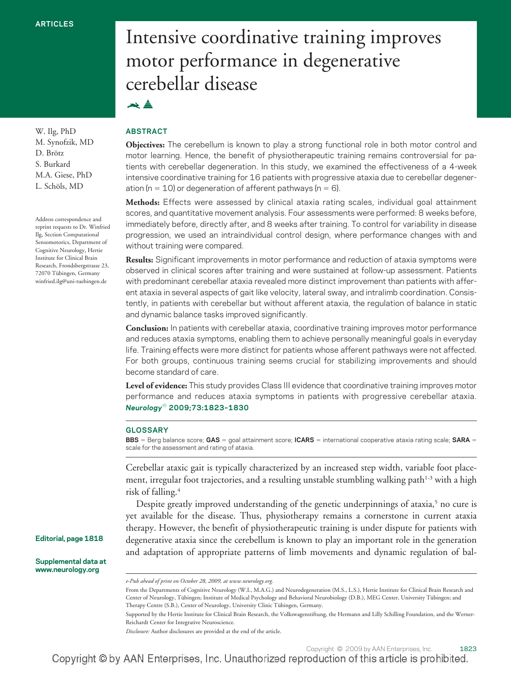W. Ilg, PhD M. Synofzik, MD D. Brötz S. Burkard M.A. Giese, PhD L. Schöls, MD

Address correspondence and reprint requests to Dr. Winfried Ilg, Section Computational Sensomotorics, Department of Cognitive Neurology, Hertie Institute for Clinical Brain Research, Frondsbergstrasse 23, 72070 Tübingen, Germany winfried.ilg@uni-tuebingen.de

# Intensive coordinative training improves motor performance in degenerative cerebellar disease ए≚

# **ABSTRACT**

**Objectives:** The cerebellum is known to play a strong functional role in both motor control and motor learning. Hence, the benefit of physiotherapeutic training remains controversial for patients with cerebellar degeneration. In this study, we examined the effectiveness of a 4-week intensive coordinative training for 16 patients with progressive ataxia due to cerebellar degeneration (n = 10) or degeneration of afferent pathways (n = 6).

**Methods:** Effects were assessed by clinical ataxia rating scales, individual goal attainment scores, and quantitative movement analysis. Four assessments were performed: 8 weeks before, immediately before, directly after, and 8 weeks after training. To control for variability in disease progression, we used an intraindividual control design, where performance changes with and without training were compared.

**Results:** Significant improvements in motor performance and reduction of ataxia symptoms were observed in clinical scores after training and were sustained at follow-up assessment. Patients with predominant cerebellar ataxia revealed more distinct improvement than patients with afferent ataxia in several aspects of gait like velocity, lateral sway, and intralimb coordination. Consistently, in patients with cerebellar but without afferent ataxia, the regulation of balance in static and dynamic balance tasks improved significantly.

**Conclusion:** In patients with cerebellar ataxia, coordinative training improves motor performance and reduces ataxia symptoms, enabling them to achieve personally meaningful goals in everyday life. Training effects were more distinct for patients whose afferent pathways were not affected. For both groups, continuous training seems crucial for stabilizing improvements and should become standard of care.

**Level of evidence:** This study provides Class III evidence that coordinative training improves motor performance and reduces ataxia symptoms in patients with progressive cerebellar ataxia. *Neurology*® **2009;73:1823–1830**

### **GLOSSARY**

**BBS** = Berg balance score; GAS = goal attainment score; ICARS = international cooperative ataxia rating scale; SARA = scale for the assessment and rating of ataxia.

Cerebellar ataxic gait is typically characterized by an increased step width, variable foot placement, irregular foot trajectories, and a resulting unstable stumbling walking path<sup>1-3</sup> with a high risk of falling.4

Despite greatly improved understanding of the genetic underpinnings of ataxia,<sup>5</sup> no cure is yet available for the disease. Thus, physiotherapy remains a cornerstone in current ataxia therapy. However, the benefit of physiotherapeutic training is under dispute for patients with degenerative ataxia since the cerebellum is known to play an important role in the generation and adaptation of appropriate patterns of limb movements and dynamic regulation of bal-

# **Editorial, page 1818**

**Supplemental data at www.neurology.org**

*Disclosure:* Author disclosures are provided at the end of the article.

Copyright © 2009 by AAN Enterprises, Inc. 1823

*e-Pub ahead of print on October 28, 2009, at www.neurology.org.*

From the Departments of Cognitive Neurology (W.I., M.A.G.) and Neurodegeneration (M.S., L.S.), Hertie Institute for Clinical Brain Research and Center of Neurology, Tübingen; Institute of Medical Psychology and Behavioral Neurobiology (D.B.), MEG Center, University Tübingen; and Therapy Centre (S.B.), Center of Neurology, University Clinic Tübingen, Germany.

Supported by the Hertie Institute for Clinical Brain Research, the Volkswagenstiftung, the Hermann and Lilly Schilling Foundation, and the Werner-Reichardt Center for Integrative Neuroscience.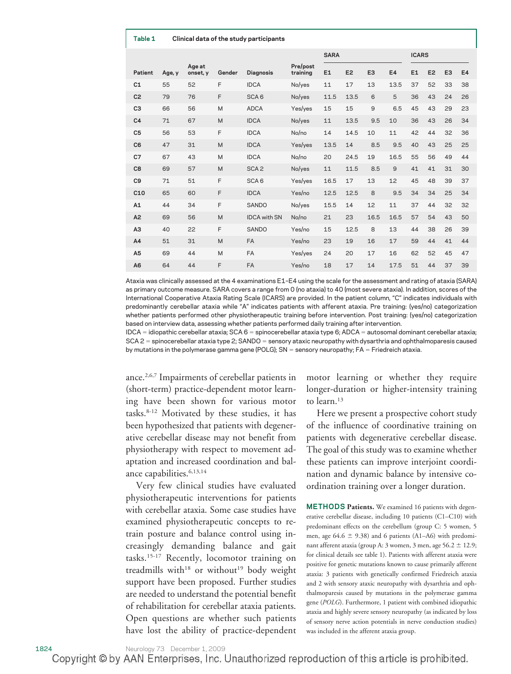**Table 1 Clinical data of the study participants**

|                 |         |        |                    |        |                     |                      | <b>SARA</b> |                |                | <b>ICARS</b> |    |                |                |           |
|-----------------|---------|--------|--------------------|--------|---------------------|----------------------|-------------|----------------|----------------|--------------|----|----------------|----------------|-----------|
|                 | Patient | Age, y | Age at<br>onset, y | Gender | <b>Diagnosis</b>    | Pre/post<br>training | E1          | E <sub>2</sub> | E <sub>3</sub> | <b>E4</b>    | E1 | E <sub>2</sub> | E <sub>3</sub> | <b>E4</b> |
| C <sub>1</sub>  |         | 55     | 52                 | F      | <b>IDCA</b>         | No/yes               | 11          | 17             | 13             | 13.5         | 37 | 52             | 33             | 38        |
| C <sub>2</sub>  |         | 79     | 76                 | F      | SCA <sub>6</sub>    | No/yes               | 11.5        | 13.5           | 6              | 5            | 36 | 43             | 24             | 26        |
| C <sub>3</sub>  |         | 66     | 56                 | M      | <b>ADCA</b>         | Yes/yes              | 15          | 15             | 9              | 6.5          | 45 | 43             | 29             | 23        |
| C <sub>4</sub>  |         | 71     | 67                 | M      | <b>IDCA</b>         | No/yes               | 11          | 13.5           | 9.5            | 10           | 36 | 43             | 26             | 34        |
| C <sub>5</sub>  |         | 56     | 53                 | F      | <b>IDCA</b>         | No/no                | 14          | 14.5           | 10             | 11           | 42 | 44             | 32             | 36        |
| C <sub>6</sub>  |         | 47     | 31                 | M      | <b>IDCA</b>         | Yes/yes              | 13.5        | 14             | 8.5            | 9.5          | 40 | 43             | 25             | 25        |
| C <sub>7</sub>  |         | 67     | 43                 | M      | <b>IDCA</b>         | No/no                | 20          | 24.5           | 19             | 16.5         | 55 | 56             | 49             | 44        |
| C <sub>8</sub>  |         | 69     | 57                 | M      | SCA <sub>2</sub>    | No/yes               | 11          | 11.5           | 8.5            | 9            | 41 | 41             | 31             | 30        |
| C <sub>9</sub>  |         | 71     | 51                 | F      | SCA <sub>6</sub>    | Yes/yes              | 16.5        | 17             | 13             | 12           | 45 | 48             | 39             | 37        |
| C <sub>10</sub> |         | 65     | 60                 | F      | <b>IDCA</b>         | Yes/no               | 12.5        | 12.5           | 8              | 9.5          | 34 | 34             | 25             | 34        |
| A1              |         | 44     | 34                 | F      | <b>SANDO</b>        | No/yes               | 15.5        | 14             | 12             | 11           | 37 | 44             | 32             | 32        |
| A <sub>2</sub>  |         | 69     | 56                 | M      | <b>IDCA</b> with SN | No/no                | 21          | 23             | 16.5           | 16.5         | 57 | 54             | 43             | 50        |
| A <sub>3</sub>  |         | 40     | 22                 | F      | <b>SANDO</b>        | Yes/no               | 15          | 12.5           | 8              | 13           | 44 | 38             | 26             | 39        |
| A <sub>4</sub>  |         | 51     | 31                 | M      | <b>FA</b>           | Yes/no               | 23          | 19             | 16             | 17           | 59 | 44             | 41             | 44        |
| A <sub>5</sub>  |         | 69     | 44                 | M      | FA                  | Yes/yes              | 24          | 20             | 17             | 16           | 62 | 52             | 45             | 47        |
| A <sub>6</sub>  |         | 64     | 44                 | F      | <b>FA</b>           | Yes/no               | 18          | 17             | 14             | 17.5         | 51 | 44             | 37             | 39        |
|                 |         |        |                    |        |                     |                      |             |                |                |              |    |                |                |           |

Ataxia was clinically assessed at the 4 examinations E1–E4 using the scale for the assessment and rating of ataxia (SARA) as primary outcome measure. SARA covers a range from 0 (no ataxia) to 40 (most severe ataxia). In addition, scores of the International Cooperative Ataxia Rating Scale (ICARS) are provided. In the patient column, "C" indicates individuals with predominantly cerebellar ataxia while "A" indicates patients with afferent ataxia. Pre training: (yes/no) categorization whether patients performed other physiotherapeutic training before intervention. Post training: (yes/no) categorization based on interview data, assessing whether patients performed daily training after intervention.

IDCA = idiopathic cerebellar ataxia; SCA 6 = spinocerebellar ataxia type 6; ADCA = autosomal dominant cerebellar ataxia; SCA 2 = spinocerebellar ataxia type 2; SANDO = sensory ataxic neuropathy with dysarthria and ophthalmoparesis caused by mutations in the polymerase gamma gene (POLG); SN = sensory neuropathy; FA = Friedreich ataxia.

ance.2,6,7 Impairments of cerebellar patients in (short-term) practice-dependent motor learning have been shown for various motor tasks.8-12 Motivated by these studies, it has been hypothesized that patients with degenerative cerebellar disease may not benefit from physiotherapy with respect to movement adaptation and increased coordination and balance capabilities.6,13,14

Very few clinical studies have evaluated physiotherapeutic interventions for patients with cerebellar ataxia. Some case studies have examined physiotherapeutic concepts to retrain posture and balance control using increasingly demanding balance and gait tasks.15-17 Recently, locomotor training on treadmills with $18$  or without<sup>19</sup> body weight support have been proposed. Further studies are needed to understand the potential benefit of rehabilitation for cerebellar ataxia patients. Open questions are whether such patients have lost the ability of practice-dependent motor learning or whether they require longer-duration or higher-intensity training to learn.13

Here we present a prospective cohort study of the influence of coordinative training on patients with degenerative cerebellar disease. The goal of this study was to examine whether these patients can improve interjoint coordination and dynamic balance by intensive coordination training over a longer duration.

**METHODS Patients.** We examined 16 patients with degenerative cerebellar disease, including 10 patients (C1–C10) with predominant effects on the cerebellum (group C: 5 women, 5 men, age  $64.6 \pm 9.38$ ) and 6 patients (A1–A6) with predominant afferent ataxia (group A: 3 women, 3 men, age 56.2  $\pm$  12.9; for clinical details see table 1). Patients with afferent ataxia were positive for genetic mutations known to cause primarily afferent ataxia: 3 patients with genetically confirmed Friedreich ataxia and 2 with sensory ataxic neuropathy with dysarthria and ophthalmoparesis caused by mutations in the polymerase gamma gene (*POLG*). Furthermore, 1 patient with combined idiopathic ataxia and highly severe sensory neuropathy (as indicated by loss of sensory nerve action potentials in nerve conduction studies) was included in the afferent ataxia group.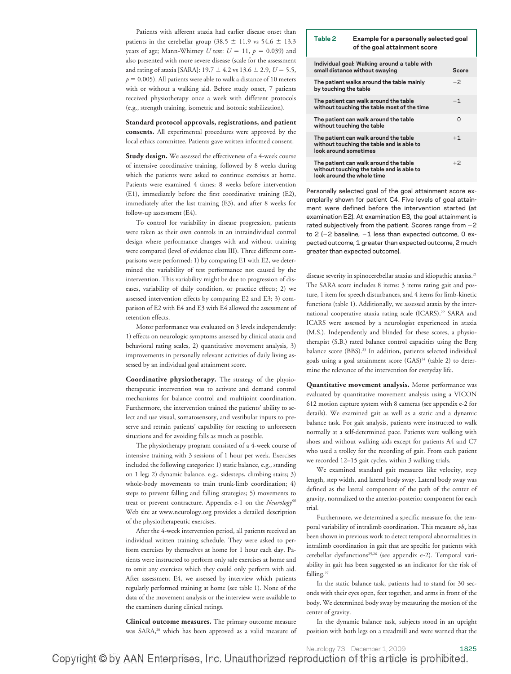Patients with afferent ataxia had earlier disease onset than patients in the cerebellar group (38.5  $\pm$  11.9 vs 54.6  $\pm$  13.3 years of age; Mann-Whitney *U* test:  $U = 11$ ,  $p = 0.039$ ) and also presented with more severe disease (scale for the assessment and rating of ataxia [SARA]:  $19.7 \pm 4.2$  vs  $13.6 \pm 2.9$ ,  $U = 5.5$ ,  $p = 0.005$ ). All patients were able to walk a distance of 10 meters with or without a walking aid. Before study onset, 7 patients received physiotherapy once a week with different protocols (e.g., strength training, isometric and isotonic stabilization).

**Standard protocol approvals, registrations, and patient consents.** All experimental procedures were approved by the local ethics committee. Patients gave written informed consent.

**Study design.** We assessed the effectiveness of a 4-week course of intensive coordinative training, followed by 8 weeks during which the patients were asked to continue exercises at home. Patients were examined 4 times: 8 weeks before intervention (E1), immediately before the first coordinative training (E2), immediately after the last training (E3), and after 8 weeks for follow-up assessment (E4).

To control for variability in disease progression, patients were taken as their own controls in an intraindividual control design where performance changes with and without training were compared (level of evidence class III). Three different comparisons were performed: 1) by comparing E1 with E2, we determined the variability of test performance not caused by the intervention. This variability might be due to progression of diseases, variability of daily condition, or practice effects; 2) we assessed intervention effects by comparing E2 and E3; 3) comparison of E2 with E4 and E3 with E4 allowed the assessment of retention effects.

Motor performance was evaluated on 3 levels independently: 1) effects on neurologic symptoms assessed by clinical ataxia and behavioral rating scales, 2) quantitative movement analysis, 3) improvements in personally relevant activities of daily living assessed by an individual goal attainment score.

**Coordinative physiotherapy.** The strategy of the physiotherapeutic intervention was to activate and demand control mechanisms for balance control and multijoint coordination. Furthermore, the intervention trained the patients' ability to select and use visual, somatosensory, and vestibular inputs to preserve and retrain patients' capability for reacting to unforeseen situations and for avoiding falls as much as possible.

The physiotherapy program consisted of a 4-week course of intensive training with 3 sessions of 1 hour per week. Exercises included the following categories: 1) static balance, e.g., standing on 1 leg; 2) dynamic balance, e.g., sidesteps, climbing stairs; 3) whole-body movements to train trunk-limb coordination; 4) steps to prevent falling and falling strategies; 5) movements to treat or prevent contracture. Appendix e-1 on the *Neurology®* Web site at www.neurology.org provides a detailed description of the physiotherapeutic exercises.

After the 4-week intervention period, all patients received an individual written training schedule. They were asked to perform exercises by themselves at home for 1 hour each day. Patients were instructed to perform only safe exercises at home and to omit any exercises which they could only perform with aid. After assessment E4, we assessed by interview which patients regularly performed training at home (see table 1). None of the data of the movement analysis or the interview were available to the examiners during clinical ratings.

**Clinical outcome measures.** The primary outcome measure was SARA,<sup>20</sup> which has been approved as a valid measure of

| Table 2<br>Example for a personally selected goal<br>of the goal attainment score            |                                                                                                                  |      |  |  |  |  |  |
|----------------------------------------------------------------------------------------------|------------------------------------------------------------------------------------------------------------------|------|--|--|--|--|--|
| Individual goal: Walking around a table with<br>small distance without swaying<br>Score      |                                                                                                                  |      |  |  |  |  |  |
| The patient walks around the table mainly<br>$-2$<br>by touching the table                   |                                                                                                                  |      |  |  |  |  |  |
| The patient can walk around the table<br>$-1$<br>without touching the table most of the time |                                                                                                                  |      |  |  |  |  |  |
|                                                                                              | The patient can walk around the table<br>without touching the table                                              | O    |  |  |  |  |  |
| look around sometimes                                                                        | The patient can walk around the table<br>without touching the table and is able to                               | $+1$ |  |  |  |  |  |
|                                                                                              | The patient can walk around the table<br>without touching the table and is able to<br>look around the whole time | $+2$ |  |  |  |  |  |

Personally selected goal of the goal attainment score exemplarily shown for patient C4. Five levels of goal attainment were defined before the intervention started (at examination E2). At examination E3, the goal attainment is rated subjectively from the patient. Scores range from  $-2$ to 2 ( $-2$  baseline,  $-1$  less than expected outcome, 0 expected outcome, 1 greater than expected outcome, 2 much greater than expected outcome).

disease severity in spinocerebellar ataxias and idiopathic ataxias.<sup>21</sup> The SARA score includes 8 items: 3 items rating gait and posture, 1 item for speech disturbances, and 4 items for limb-kinetic functions (table 1). Additionally, we assessed ataxia by the international cooperative ataxia rating scale (ICARS).<sup>22</sup> SARA and ICARS were assessed by a neurologist experienced in ataxia (M.S.). Independently and blinded for these scores, a physiotherapist (S.B.) rated balance control capacities using the Berg balance score (BBS).<sup>23</sup> In addition, patients selected individual goals using a goal attainment score (GAS)<sup>24</sup> (table 2) to determine the relevance of the intervention for everyday life.

**Quantitative movement analysis.** Motor performance was evaluated by quantitative movement analysis using a VICON 612 motion capture system with 8 cameras (see appendix e-2 for details). We examined gait as well as a static and a dynamic balance task. For gait analysis, patients were instructed to walk normally at a self-determined pace. Patients were walking with shoes and without walking aids except for patients A4 and C7 who used a trolley for the recording of gait. From each patient we recorded 12–15 gait cycles, within 3 walking trials.

We examined standard gait measures like velocity, step length, step width, and lateral body sway. Lateral body sway was defined as the lateral component of the path of the center of gravity, normalized to the anterior-posterior component for each trial.

Furthermore, we determined a specific measure for the temporal variability of intralimb coordination. This measure  $vb_\tau$  has been shown in previous work to detect temporal abnormalities in intralimb coordination in gait that are specific for patients with cerebellar dysfunctions<sup>25,26</sup> (see appendix e-2). Temporal variability in gait has been suggested as an indicator for the risk of falling.<sup>27</sup>

In the static balance task, patients had to stand for 30 seconds with their eyes open, feet together, and arms in front of the body. We determined body sway by measuring the motion of the center of gravity.

In the dynamic balance task, subjects stood in an upright position with both legs on a treadmill and were warned that the

Neurology 73 December 1, 2009 1825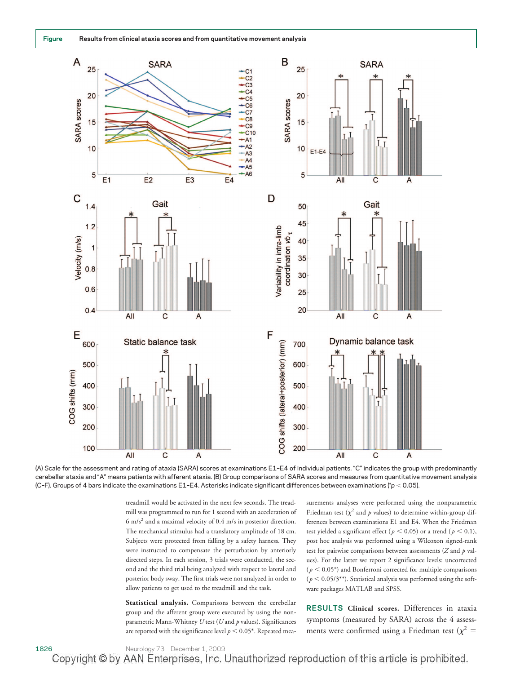

(A) Scale for the assessment and rating of ataxia (SARA) scores at examinations E1–E4 of individual patients. "C" indicates the group with predominantly cerebellar ataxia and "A" means patients with afferent ataxia. (B) Group comparisons of SARA scores and measures from quantitative movement analysis (C-F). Groups of 4 bars indicate the examinations E1-E4. Asterisks indicate significant differences between examinations ( $p < 0.05$ ).

treadmill would be activated in the next few seconds. The treadmill was programmed to run for 1 second with an acceleration of 6 m/s<sup>2</sup> and a maximal velocity of 0.4 m/s in posterior direction. The mechanical stimulus had a translatory amplitude of 18 cm. Subjects were protected from falling by a safety harness. They were instructed to compensate the perturbation by anteriorly directed steps. In each session, 3 trials were conducted, the second and the third trial being analyzed with respect to lateral and posterior body sway. The first trials were not analyzed in order to allow patients to get used to the treadmill and the task.

**Statistical analysis.** Comparisons between the cerebellar group and the afferent group were executed by using the nonparametric Mann-Whitney *U* test (*U* and *p* values). Significances are reported with the significance level  $p < 0.05^*$ . Repeated measurements analyses were performed using the nonparametric Friedman test ( $\chi^2$  and  $p$  values) to determine within-group differences between examinations E1 and E4. When the Friedman test yielded a significant effect ( $p < 0.05$ ) or a trend ( $p < 0.1$ ), post hoc analysis was performed using a Wilcoxon signed-rank test for pairwise comparisons between assessments (*Z* and *p* values). For the latter we report 2 significance levels: uncorrected  $(p < 0.05^*)$  and Bonferroni corrected for multiple comparisons ( $p < 0.05/3$ <sup>\*\*</sup>). Statistical analysis was performed using the software packages MATLAB and SPSS.

**RESULTS Clinical scores.** Differences in ataxia symptoms (measured by SARA) across the 4 assessments were confirmed using a Friedman test ( $\chi^2$  =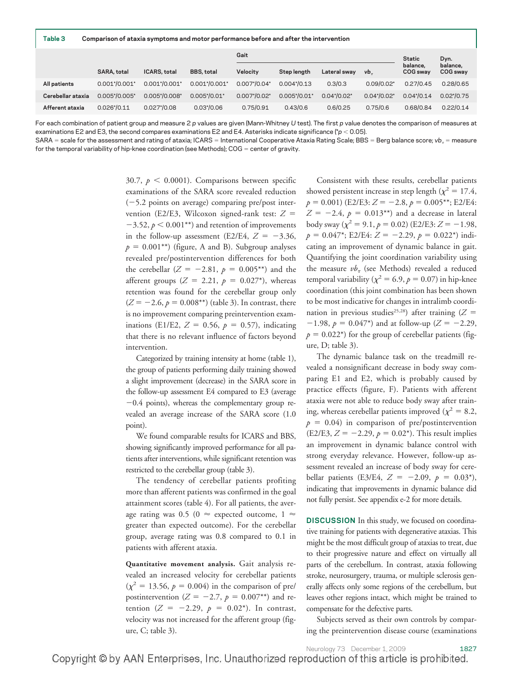| Table 3           | Comparison of ataxia symptoms and motor performance before and after the intervention |                     |                      |              |                |               |               |                             |                      |
|-------------------|---------------------------------------------------------------------------------------|---------------------|----------------------|--------------|----------------|---------------|---------------|-----------------------------|----------------------|
|                   |                                                                                       |                     |                      | Gait         |                | <b>Static</b> | Dyn.          |                             |                      |
|                   | <b>SARA, total</b>                                                                    | <b>ICARS, total</b> | <b>BBS, total</b>    | Velocity     | Step length    | Lateral sway  | $vb -$        | balance.<br><b>COG</b> sway | balance,<br>COG sway |
| All patients      | 0.001'/0.001'                                                                         | 0.001'/0.001'       | 0.001'/0.001'        | 0.007'/0.04" | $0.004*/0.13$  | 0.3/0.3       | $0.09/0.02*$  | 0.27/0.45                   | 0.28/0.65            |
| Cerebellar ataxia | $0.005*/0.005*$                                                                       | 0.005'/0.008"       | $0.005^{*}/0.01^{*}$ | 0.007'/0.02" | $0.005*/0.01*$ | $0.04*/0.02*$ | $0.04*/0.02*$ | $0.04^{*}/0.14$             | $0.02^{t}/0.75$      |
| Afferent ataxia   | $0.026^{*}/0.11$                                                                      | 0.027'/0.08         | $0.03*/0.06$         | 0.75/0.91    | 0.43/0.6       | 0.6/0.25      | 0.75/0.6      | 0.68/0.84                   | 0.22/0.14            |

For each combination of patient group and measure 2 *p* values are given (Mann-Whitney *U* test). The first *p* value denotes the comparison of measures at examinations E2 and E3, the second compares examinations E2 and E4. Asterisks indicate significance ( $p < 0.05$ ).

SARA = scale for the assessment and rating of ataxia; ICARS = International Cooperative Ataxia Rating Scale; BBS = Berg balance score;  $vb_\tau$  = measure for the temporal variability of hip-knee coordination (see Methods);  $COG =$  center of gravity.

> 30.7,  $p < 0.0001$ ). Comparisons between specific examinations of the SARA score revealed reduction (5.2 points on average) comparing pre/post intervention (E2/E3, Wilcoxon signed-rank test: *Z*  $-3.52$ ,  $p < 0.001**$ ) and retention of improvements in the follow-up assessment (E2/E4,  $Z = -3.36$ ,  $p = 0.001^{**}$ ) (figure, A and B). Subgroup analyses revealed pre/postintervention differences for both the cerebellar ( $Z = -2.81$ ,  $p = 0.005^{**}$ ) and the afferent groups  $(Z = 2.21, p = 0.027^*)$ , whereas retention was found for the cerebellar group only  $(Z = -2.6, p = 0.008**)$  (table 3). In contrast, there is no improvement comparing preintervention examinations (E1/E2,  $Z = 0.56$ ,  $p = 0.57$ ), indicating that there is no relevant influence of factors beyond intervention.

> Categorized by training intensity at home (table 1), the group of patients performing daily training showed a slight improvement (decrease) in the SARA score in the follow-up assessment E4 compared to E3 (average  $-0.4$  points), whereas the complementary group revealed an average increase of the SARA score (1.0 point).

> We found comparable results for ICARS and BBS, showing significantly improved performance for all patients after interventions, while significant retention was restricted to the cerebellar group (table 3).

> The tendency of cerebellar patients profiting more than afferent patients was confirmed in the goal attainment scores (table 4). For all patients, the average rating was 0.5 (0  $\approx$  expected outcome, 1  $\approx$ greater than expected outcome). For the cerebellar group, average rating was 0.8 compared to 0.1 in patients with afferent ataxia.

> **Quantitative movement analysis.** Gait analysis revealed an increased velocity for cerebellar patients  $(\chi^2 = 13.56, p = 0.004)$  in the comparison of pre/ postintervention ( $Z = -2.7$ ,  $p = 0.007**$ ) and retention  $(Z = -2.29, p = 0.02^*)$ . In contrast, velocity was not increased for the afferent group (figure, C; table 3).

Consistent with these results, cerebellar patients showed persistent increase in step length ( $\chi^2 = 17.4$ ,  $p = 0.001$ ) (E2/E3:  $Z = -2.8$ ,  $p = 0.005$ <sup>\*\*</sup>; E2/E4:  $Z = -2.4$ ,  $p = 0.013**$ ) and a decrease in lateral body sway ( $\chi^2$  = 9.1,  $p$  = 0.02) (E2/E3:  $Z$  = -1.98,  $p = 0.047^*$ ; E2/E4:  $Z = -2.29$ ,  $p = 0.022^*$ ) indicating an improvement of dynamic balance in gait. Quantifying the joint coordination variability using the measure  $vb_{\tau}$  (see Methods) revealed a reduced temporal variability ( $\chi^2 = 6.9$ ,  $p = 0.07$ ) in hip-knee coordination (this joint combination has been shown to be most indicative for changes in intralimb coordination in previous studies<sup>25,28</sup>) after training  $(Z =$  $-1.98$ ,  $p = 0.047$ <sup>\*</sup>) and at follow-up ( $Z = -2.29$ ,  $p = 0.022^*$ ) for the group of cerebellar patients (figure, D; table 3).

The dynamic balance task on the treadmill revealed a nonsignificant decrease in body sway comparing E1 and E2, which is probably caused by practice effects (figure, F). Patients with afferent ataxia were not able to reduce body sway after training, whereas cerebellar patients improved ( $\chi^2 = 8.2$ ,  $p = 0.04$ ) in comparison of pre/postintervention  $(E2/E3, Z = -2.29, p = 0.02^*)$ . This result implies an improvement in dynamic balance control with strong everyday relevance. However, follow-up assessment revealed an increase of body sway for cerebellar patients (E3/E4,  $Z = -2.09$ ,  $p = 0.03^*$ ), indicating that improvements in dynamic balance did not fully persist. See appendix e-2 for more details.

**DISCUSSION** In this study, we focused on coordinative training for patients with degenerative ataxias. This might be the most difficult group of ataxias to treat, due to their progressive nature and effect on virtually all parts of the cerebellum. In contrast, ataxia following stroke, neurosurgery, trauma, or multiple sclerosis generally affects only some regions of the cerebellum, but leaves other regions intact, which might be trained to compensate for the defective parts.

Subjects served as their own controls by comparing the preintervention disease course (examinations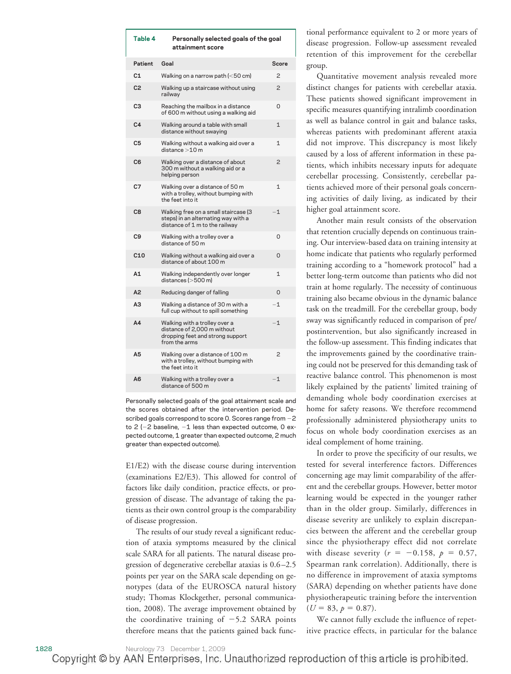| Table 4        | Personally selected goals of the goal<br>attainment score                                                         |                |  |  |  |  |  |
|----------------|-------------------------------------------------------------------------------------------------------------------|----------------|--|--|--|--|--|
| Patient        | Goal                                                                                                              | Score          |  |  |  |  |  |
| C <sub>1</sub> | Walking on a narrow path ( $<$ 50 cm)                                                                             | $\mathcal{P}$  |  |  |  |  |  |
| C <sub>2</sub> | Walking up a staircase without using<br>railway                                                                   | $\mathcal{P}$  |  |  |  |  |  |
| CЗ             | Reaching the mailbox in a distance<br>of 600 m without using a walking aid                                        | 0              |  |  |  |  |  |
| C <sub>4</sub> | Walking around a table with small<br>distance without swaying                                                     | 1              |  |  |  |  |  |
| C <sub>5</sub> | Walking without a walking aid over a<br>distance $>$ 10 m                                                         | 1              |  |  |  |  |  |
| C <sub>6</sub> | Walking over a distance of about<br>300 m without a walking aid or a<br>helping person                            | $\overline{c}$ |  |  |  |  |  |
| C7             | Walking over a distance of 50 m<br>with a trolley, without bumping with<br>the feet into it                       | $\mathbf{1}$   |  |  |  |  |  |
| C8             | Walking free on a small staircase (3<br>steps) in an alternating way with a<br>distance of 1 m to the railway     | $-1$           |  |  |  |  |  |
| C <sub>9</sub> | Walking with a trolley over a<br>distance of 50 m                                                                 | 0              |  |  |  |  |  |
| C10            | Walking without a walking aid over a<br>distance of about 100 m                                                   | 0              |  |  |  |  |  |
| A1             | Walking independently over longer<br>distances (>500 m)                                                           | $\mathbf{1}$   |  |  |  |  |  |
| A2             | Reducing danger of falling                                                                                        | 0              |  |  |  |  |  |
| A3             | Walking a distance of 30 m with a<br>full cup without to spill something                                          | $-1$           |  |  |  |  |  |
| A <sub>4</sub> | Walking with a trolley over a<br>distance of 2,000 m without<br>dropping feet and strong support<br>from the arms | $-1$           |  |  |  |  |  |
| A <sub>5</sub> | Walking over a distance of 100 m<br>with a trolley, without bumping with<br>the feet into it                      | 2              |  |  |  |  |  |
| A <sub>6</sub> | Walking with a trolley over a<br>distance of 500 m                                                                | $-1$           |  |  |  |  |  |

Personally selected goals of the goal attainment scale and the scores obtained after the intervention period. Described goals correspond to score  $0.$  Scores range from  $-2$ to  $2$  (-2 baseline, -1 less than expected outcome, 0 expected outcome, 1 greater than expected outcome, 2 much greater than expected outcome).

E1/E2) with the disease course during intervention (examinations E2/E3). This allowed for control of factors like daily condition, practice effects, or progression of disease. The advantage of taking the patients as their own control group is the comparability of disease progression.

The results of our study reveal a significant reduction of ataxia symptoms measured by the clinical scale SARA for all patients. The natural disease progression of degenerative cerebellar ataxias is 0.6 –2.5 points per year on the SARA scale depending on genotypes (data of the EUROSCA natural history study; Thomas Klockgether, personal communication, 2008). The average improvement obtained by the coordinative training of  $-5.2$  SARA points therefore means that the patients gained back func-

tional performance equivalent to 2 or more years of disease progression. Follow-up assessment revealed retention of this improvement for the cerebellar group.

Quantitative movement analysis revealed more distinct changes for patients with cerebellar ataxia. These patients showed significant improvement in specific measures quantifying intralimb coordination as well as balance control in gait and balance tasks, whereas patients with predominant afferent ataxia did not improve. This discrepancy is most likely caused by a loss of afferent information in these patients, which inhibits necessary inputs for adequate cerebellar processing. Consistently, cerebellar patients achieved more of their personal goals concerning activities of daily living, as indicated by their higher goal attainment score.

Another main result consists of the observation that retention crucially depends on continuous training. Our interview-based data on training intensity at home indicate that patients who regularly performed training according to a "homework protocol" had a better long-term outcome than patients who did not train at home regularly. The necessity of continuous training also became obvious in the dynamic balance task on the treadmill. For the cerebellar group, body sway was significantly reduced in comparison of pre/ postintervention, but also significantly increased in the follow-up assessment. This finding indicates that the improvements gained by the coordinative training could not be preserved for this demanding task of reactive balance control. This phenomenon is most likely explained by the patients' limited training of demanding whole body coordination exercises at home for safety reasons. We therefore recommend professionally administered physiotherapy units to focus on whole body coordination exercises as an ideal complement of home training.

In order to prove the specificity of our results, we tested for several interference factors. Differences concerning age may limit comparability of the afferent and the cerebellar groups. However, better motor learning would be expected in the younger rather than in the older group. Similarly, differences in disease severity are unlikely to explain discrepancies between the afferent and the cerebellar group since the physiotherapy effect did not correlate with disease severity  $(r = -0.158, p = 0.57,$ Spearman rank correlation). Additionally, there is no difference in improvement of ataxia symptoms (SARA) depending on whether patients have done physiotherapeutic training before the intervention  $(U = 83, p = 0.87).$ 

We cannot fully exclude the influence of repetitive practice effects, in particular for the balance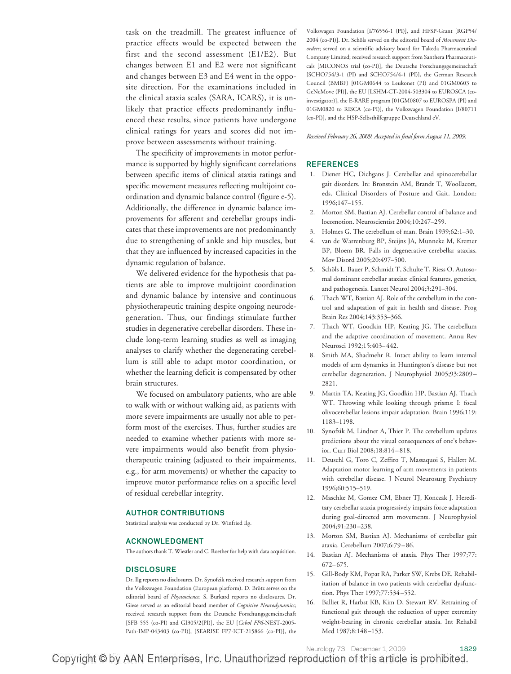task on the treadmill. The greatest influence of practice effects would be expected between the first and the second assessment (E1/E2). But changes between E1 and E2 were not significant and changes between E3 and E4 went in the opposite direction. For the examinations included in the clinical ataxia scales (SARA, ICARS), it is unlikely that practice effects predominantly influenced these results, since patients have undergone clinical ratings for years and scores did not improve between assessments without training.

The specificity of improvements in motor performance is supported by highly significant correlations between specific items of clinical ataxia ratings and specific movement measures reflecting multijoint coordination and dynamic balance control (figure e-5). Additionally, the difference in dynamic balance improvements for afferent and cerebellar groups indicates that these improvements are not predominantly due to strengthening of ankle and hip muscles, but that they are influenced by increased capacities in the dynamic regulation of balance.

We delivered evidence for the hypothesis that patients are able to improve multijoint coordination and dynamic balance by intensive and continuous physiotherapeutic training despite ongoing neurodegeneration. Thus, our findings stimulate further studies in degenerative cerebellar disorders. These include long-term learning studies as well as imaging analyses to clarify whether the degenerating cerebellum is still able to adapt motor coordination, or whether the learning deficit is compensated by other brain structures.

We focused on ambulatory patients, who are able to walk with or without walking aid, as patients with more severe impairments are usually not able to perform most of the exercises. Thus, further studies are needed to examine whether patients with more severe impairments would also benefit from physiotherapeutic training (adjusted to their impairments, e.g., for arm movements) or whether the capacity to improve motor performance relies on a specific level of residual cerebellar integrity.

## **AUTHOR CONTRIBUTIONS**

Statistical analysis was conducted by Dr. Winfried Ilg.

#### **ACKNOWLEDGMENT**

The authors thank T. Wiestler and C. Roether for help with data acquisition.

#### **DISCLOSURE**

Dr. Ilg reports no disclosures. Dr. Synofzik received research support from the Volkswagen Foundation (European platform). D. Brötz serves on the editorial board of *Physioscience*. S. Burkard reports no disclosures. Dr. Giese served as an editorial board member of *Cognitive Neurodynamics*; received research support from the Deutsche Forschungsgemeinschaft [SFB 555 (co-PI) and GI305/2(PI)], the EU [*Cobol FP6*-NEST-2005- Path-IMP-043403 (co-PI)], [SEARISE FP7-ICT-215866 (co-PI)], the Volkswagen Foundation [I/76556-1 (PI)], and HFSP-Grant [RGP54/ 2004 (co-PI)]. Dr. Schöls served on the editorial board of *Movement Disorders*; served on a scientific advisory board for Takeda Pharmaceutical Company Limited; received research support from Santhera Pharmaceuticals [MICONOS trial (co-PI)], the Deutsche Forschungsgemeinschaft [SCHO754/3-1 (PI) and SCHO754/4-1 (PI)], the German Research Council (BMBF) [01GM0644 to Leukonet (PI) and 01GM0603 to GeNeMove (PI)], the EU [LSHM-CT-2004-503304 to EUROSCA (coinvestigator)], the E-RARE program [01GM0807 to EUROSPA (PI) and 01GM0820 to RISCA (co-PI)], the Volkswagen Foundation [I/80711 (co-PI)], and the HSP-Selbsthilfegruppe Deutschland eV.

*Received February 26, 2009. Accepted in final form August 11, 2009.*

#### **REFERENCES**

- 1. Diener HC, Dichgans J. Cerebellar and spinocerebellar gait disorders. In: Bronstein AM, Brandt T, Woollacott, eds. Clinical Disorders of Posture and Gait. London: 1996;147–155.
- 2. Morton SM, Bastian AJ. Cerebellar control of balance and locomotion. Neuroscientist 2004;10:247–259.
- 3. Holmes G. The cerebellum of man. Brain 1939;62:1–30.
- 4. van de Warrenburg BP, Steijns JA, Munneke M, Kremer BP, Bloem BR. Falls in degenerative cerebellar ataxias. Mov Disord 2005;20:497–500.
- 5. Schöls L, Bauer P, Schmidt T, Schulte T, Riess O. Autosomal dominant cerebellar ataxias: clinical features, genetics, and pathogenesis. Lancet Neurol 2004;3:291–304.
- 6. Thach WT, Bastian AJ. Role of the cerebellum in the control and adaptation of gait in health and disease. Prog Brain Res 2004;143:353–366.
- 7. Thach WT, Goodkin HP, Keating JG. The cerebellum and the adaptive coordination of movement. Annu Rev Neurosci 1992;15:403– 442.
- 8. Smith MA, Shadmehr R. Intact ability to learn internal models of arm dynamics in Huntington's disease but not cerebellar degeneration. J Neurophysiol 2005;93:2809 – 2821.
- 9. Martin TA, Keating JG, Goodkin HP, Bastian AJ, Thach WT. Throwing while looking through prisms: I: focal olivocerebellar lesions impair adaptation. Brain 1996;119: 1183–1198.
- 10. Synofzik M, Lindner A, Thier P. The cerebellum updates predictions about the visual consequences of one's behavior. Curr Biol 2008;18:814 – 818.
- 11. Deuschl G, Toro C, Zeffiro T, Massaquoi S, Hallett M. Adaptation motor learning of arm movements in patients with cerebellar disease. J Neurol Neurosurg Psychiatry 1996;60:515–519.
- 12. Maschke M, Gomez CM, Ebner TJ, Konczak J. Hereditary cerebellar ataxia progressively impairs force adaptation during goal-directed arm movements. J Neurophysiol 2004;91:230 –238.
- 13. Morton SM, Bastian AJ. Mechanisms of cerebellar gait ataxia. Cerebellum 2007;6:79 – 86.
- 14. Bastian AJ. Mechanisms of ataxia. Phys Ther 1997;77: 672– 675.
- 15. Gill-Body KM, Popat RA, Parker SW, Krebs DE. Rehabilitation of balance in two patients with cerebellar dysfunction. Phys Ther 1997;77:534 –552.
- 16. Balliet R, Harbst KB, Kim D, Stewart RV. Retraining of functional gait through the reduction of upper extremity weight-bearing in chronic cerebellar ataxia. Int Rehabil Med 1987;8:148 –153.

Neurology 73 December 1, 2009 1829

Copyright © by AAN Enterprises, Inc. Unauthorized reproduction of this article is prohibited.